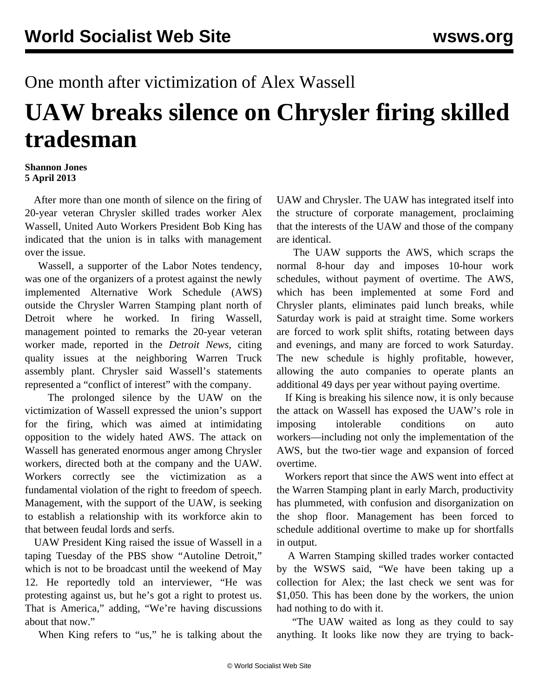## One month after victimization of Alex Wassell

## **UAW breaks silence on Chrysler firing skilled tradesman**

## **Shannon Jones 5 April 2013**

 After more than one month of silence on the firing of 20-year veteran Chrysler skilled trades worker Alex Wassell, United Auto Workers President Bob King has indicated that the union is in talks with management over the issue.

 Wassell, a supporter of the Labor Notes tendency, was one of the organizers of a protest against the newly implemented Alternative Work Schedule (AWS) outside the Chrysler Warren Stamping plant north of Detroit where he worked. In firing Wassell, management pointed to remarks the 20-year veteran worker made, reported in the *Detroit News,* citing quality issues at the neighboring Warren Truck assembly plant. Chrysler said Wassell's statements represented a "conflict of interest" with the company.

 The prolonged silence by the UAW on the victimization of Wassell expressed the union's support for the firing, which was aimed at intimidating opposition to the widely hated AWS. The attack on Wassell has generated enormous anger among Chrysler workers, directed both at the company and the UAW. Workers correctly see the victimization as a fundamental violation of the right to freedom of speech. Management, with the support of the UAW, is seeking to establish a relationship with its workforce akin to that between feudal lords and serfs.

 UAW President King raised the issue of Wassell in a taping Tuesday of the PBS show "Autoline Detroit," which is not to be broadcast until the weekend of May 12. He reportedly told an interviewer, "He was protesting against us, but he's got a right to protest us. That is America," adding, "We're having discussions about that now."

When King refers to "us," he is talking about the

UAW and Chrysler. The UAW has integrated itself into the structure of corporate management, proclaiming that the interests of the UAW and those of the company are identical.

 The UAW supports the AWS, which scraps the normal 8-hour day and imposes 10-hour work schedules, without payment of overtime. The AWS, which has been implemented at some Ford and Chrysler plants, eliminates paid lunch breaks, while Saturday work is paid at straight time. Some workers are forced to work split shifts, rotating between days and evenings, and many are forced to work Saturday. The new schedule is highly profitable, however, allowing the auto companies to operate plants an additional 49 days per year without paying overtime.

 If King is breaking his silence now, it is only because the attack on Wassell has exposed the UAW's role in imposing intolerable conditions on auto workers—including not only the implementation of the AWS, but the two-tier wage and expansion of forced overtime.

 Workers report that since the AWS went into effect at the Warren Stamping plant in early March, productivity has plummeted, with confusion and disorganization on the shop floor. Management has been forced to schedule additional overtime to make up for shortfalls in output.

 A Warren Stamping skilled trades worker contacted by the WSWS said, "We have been taking up a collection for Alex; the last check we sent was for \$1,050. This has been done by the workers, the union had nothing to do with it.

 "The UAW waited as long as they could to say anything. It looks like now they are trying to back